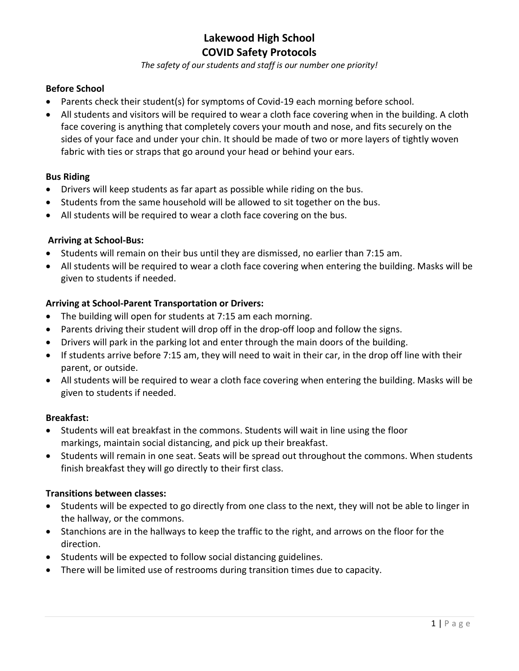*The safety of our students and staff is our number one priority!*

## **Before School**

- Parents check their student(s) for symptoms of Covid-19 each morning before school.
- All students and visitors will be required to wear a cloth face covering when in the building. A cloth face covering is anything that completely covers your mouth and nose, and fits securely on the sides of your face and under your chin. It should be made of two or more layers of tightly woven fabric with ties or straps that go around your head or behind your ears.

### **Bus Riding**

- Drivers will keep students as far apart as possible while riding on the bus.
- Students from the same household will be allowed to sit together on the bus.
- All students will be required to wear a cloth face covering on the bus.

## **Arriving at School-Bus:**

- Students will remain on their bus until they are dismissed, no earlier than 7:15 am.
- All students will be required to wear a cloth face covering when entering the building. Masks will be given to students if needed.

### **Arriving at School-Parent Transportation or Drivers:**

- The building will open for students at 7:15 am each morning.
- Parents driving their student will drop off in the drop-off loop and follow the signs.
- Drivers will park in the parking lot and enter through the main doors of the building.
- If students arrive before 7:15 am, they will need to wait in their car, in the drop off line with their parent, or outside.
- All students will be required to wear a cloth face covering when entering the building. Masks will be given to students if needed.

### **Breakfast:**

- Students will eat breakfast in the commons. Students will wait in line using the floor markings, maintain social distancing, and pick up their breakfast.
- Students will remain in one seat. Seats will be spread out throughout the commons. When students finish breakfast they will go directly to their first class.

### **Transitions between classes:**

- Students will be expected to go directly from one class to the next, they will not be able to linger in the hallway, or the commons.
- Stanchions are in the hallways to keep the traffic to the right, and arrows on the floor for the direction.
- Students will be expected to follow social distancing guidelines.
- There will be limited use of restrooms during transition times due to capacity.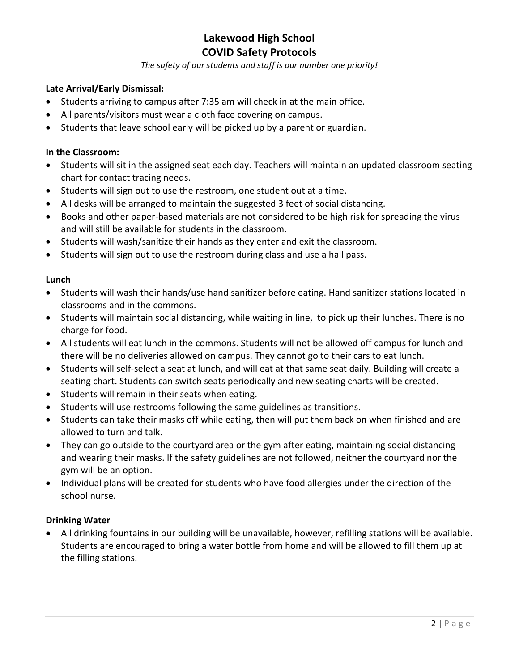*The safety of our students and staff is our number one priority!*

# **Late Arrival/Early Dismissal:**

- Students arriving to campus after 7:35 am will check in at the main office.
- All parents/visitors must wear a cloth face covering on campus.
- Students that leave school early will be picked up by a parent or guardian.

### **In the Classroom:**

- Students will sit in the assigned seat each day. Teachers will maintain an updated classroom seating chart for contact tracing needs.
- Students will sign out to use the restroom, one student out at a time.
- All desks will be arranged to maintain the suggested 3 feet of social distancing.
- Books and other paper-based materials are not considered to be high risk for spreading the virus and will still be available for students in the classroom.
- Students will wash/sanitize their hands as they enter and exit the classroom.
- Students will sign out to use the restroom during class and use a hall pass.

#### **Lunch**

- Students will wash their hands/use hand sanitizer before eating. Hand sanitizer stations located in classrooms and in the commons.
- Students will maintain social distancing, while waiting in line, to pick up their lunches. There is no charge for food.
- All students will eat lunch in the commons. Students will not be allowed off campus for lunch and there will be no deliveries allowed on campus. They cannot go to their cars to eat lunch.
- Students will self-select a seat at lunch, and will eat at that same seat daily. Building will create a seating chart. Students can switch seats periodically and new seating charts will be created.
- Students will remain in their seats when eating.
- Students will use restrooms following the same guidelines as transitions.
- Students can take their masks off while eating, then will put them back on when finished and are allowed to turn and talk.
- They can go outside to the courtyard area or the gym after eating, maintaining social distancing and wearing their masks. If the safety guidelines are not followed, neither the courtyard nor the gym will be an option.
- Individual plans will be created for students who have food allergies under the direction of the school nurse.

### **Drinking Water**

• All drinking fountains in our building will be unavailable, however, refilling stations will be available. Students are encouraged to bring a water bottle from home and will be allowed to fill them up at the filling stations.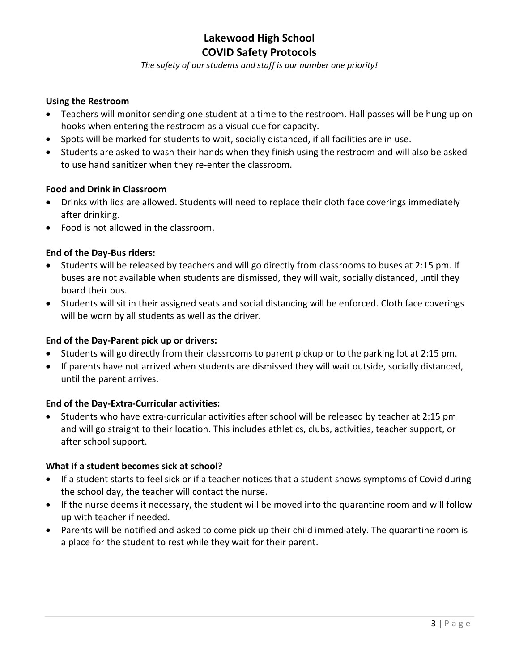*The safety of our students and staff is our number one priority!*

### **Using the Restroom**

- Teachers will monitor sending one student at a time to the restroom. Hall passes will be hung up on hooks when entering the restroom as a visual cue for capacity.
- Spots will be marked for students to wait, socially distanced, if all facilities are in use.
- Students are asked to wash their hands when they finish using the restroom and will also be asked to use hand sanitizer when they re-enter the classroom.

### **Food and Drink in Classroom**

- Drinks with lids are allowed. Students will need to replace their cloth face coverings immediately after drinking.
- Food is not allowed in the classroom.

### **End of the Day-Bus riders:**

- Students will be released by teachers and will go directly from classrooms to buses at 2:15 pm. If buses are not available when students are dismissed, they will wait, socially distanced, until they board their bus.
- Students will sit in their assigned seats and social distancing will be enforced. Cloth face coverings will be worn by all students as well as the driver.

#### **End of the Day-Parent pick up or drivers:**

- Students will go directly from their classrooms to parent pickup or to the parking lot at 2:15 pm.
- If parents have not arrived when students are dismissed they will wait outside, socially distanced, until the parent arrives.

### **End of the Day-Extra-Curricular activities:**

• Students who have extra-curricular activities after school will be released by teacher at 2:15 pm and will go straight to their location. This includes athletics, clubs, activities, teacher support, or after school support.

#### **What if a student becomes sick at school?**

- If a student starts to feel sick or if a teacher notices that a student shows symptoms of Covid during the school day, the teacher will contact the nurse.
- If the nurse deems it necessary, the student will be moved into the quarantine room and will follow up with teacher if needed.
- Parents will be notified and asked to come pick up their child immediately. The quarantine room is a place for the student to rest while they wait for their parent.